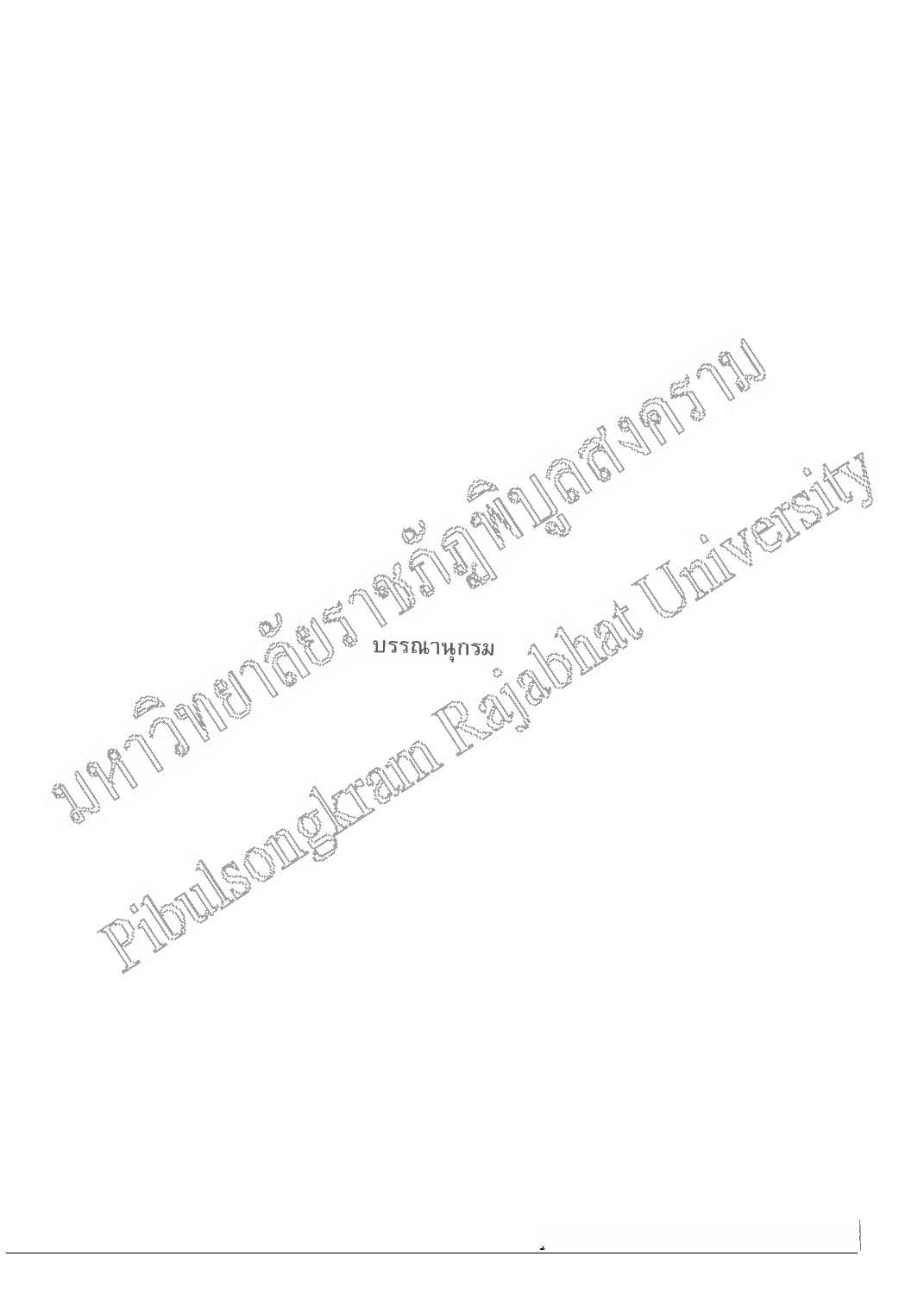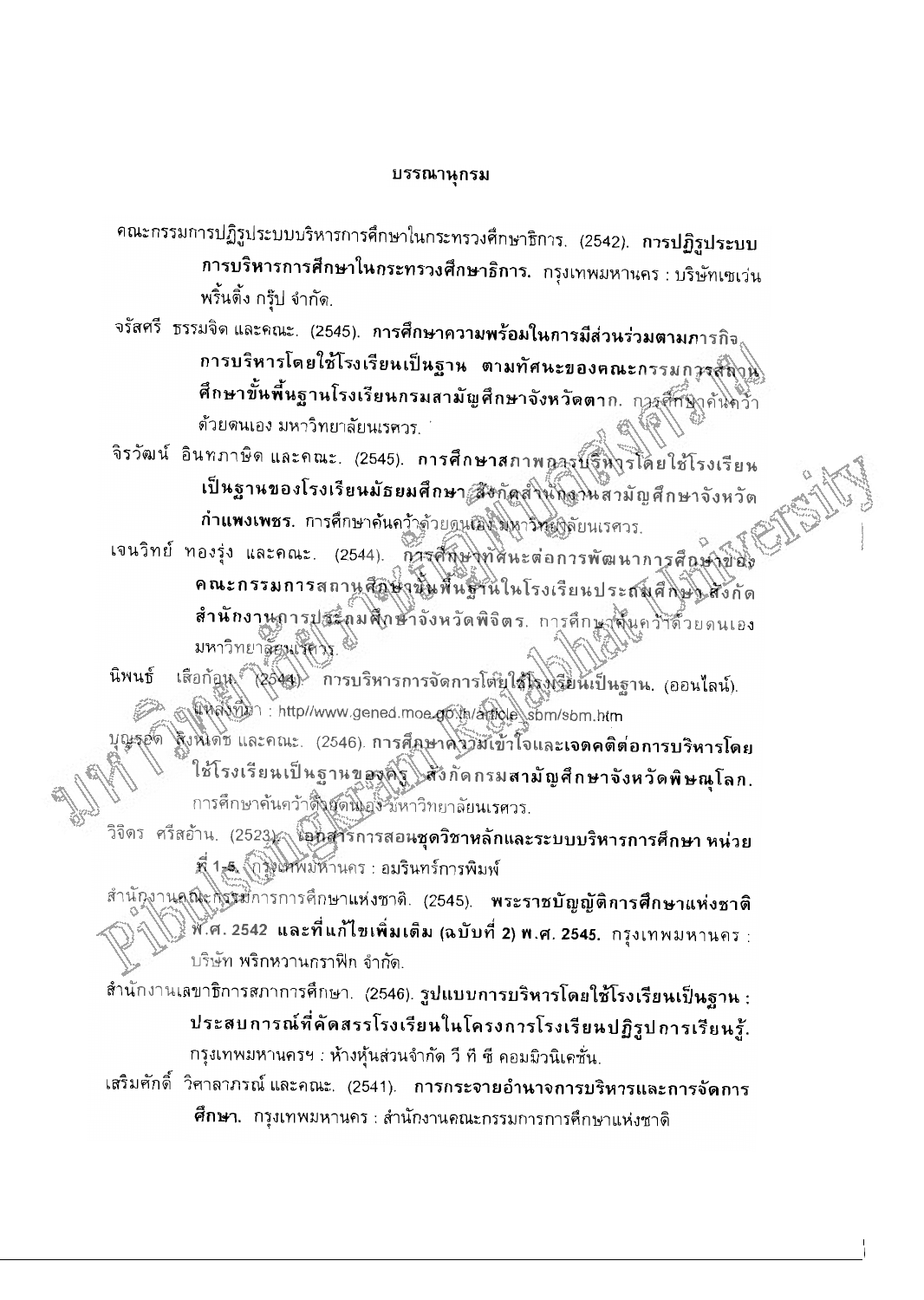## บรรณานุกรม

- คณะกรรมการปฏิรูประบบบริหารการศึกษาในกระทรวงศึกษาธิการ. (2542). **การปฏิรูประบบ** การบริหารการศึกษาในกระทรวงศึกษาธิการ. กรุงเทพมหานคร : บริษัทเซเว่น พริ้นติ้ง กรุ๊ป จำกัด.
- จรัสศรี ธรรมจิด และคณะ. (2545). การศึกษาควา<mark>มพร้อมในการมีส่วนร่วมตามภ</mark>ารกิจ<sub>ะ</sub> การบริหารโดยใช้โรงเรียนเป็นฐาน ตามทัศนะของคณะกรรมการสัญน ศึกษาขั้นพื้นฐานโรงเรียนกรมสามัญศึกษาจังหวัดตาก. การศึกฐาคันคว้า ด้วยดนเอง มหาวิทยาลัยนเรศวร.
- จิรวัฒน์ อินทภาษิดและคณะ. (2545). การศึกษาสภาพการน์รึหารโดยใช้โรงเรียน เป็นฐานของโรงเรียนมัธยมศึกษา สิงกัดสงินกิจานสามัญศึกษาจังหวัด กำแพงเพชร. การศึกษาค้นคว้าตัวยุดนเอง พิหาริหญิตัยนเรศวร.
- เจนวิทย์ ทองรุ่ง และคณะ. (2544). การศึกษาทศินะต่อการพัฒนาการศึกษาของ คณะกรรมการสถานศึกษาขึ้นพื้นฐานในโรงเรียนประสมศึกษาให้งกัด สำนักงานการประถมศึกษาจังหวัดพิจิตร. การศึกษาสั้นคว้าด้วยดนเอง มหาวิทยาลัยมเร็ตวร.
- เสือก้อน (2549) การบริหารการจัดการโต้ยุใช้โรงเรียนเป็นฐาน. (ออนไลน์). นิพนธ์ A PAWIL : http://www.gened.moe.gov.h/agroup\sbm/sbm.htm บุญรุฮด (ริงห์โดช และคณะ. (2546). การศึกษาคริวัยเข้าใจและเจตคติต่อการบริหารโดย ใช้โรงเรียนเป็นฐานของค์ ไส้งกัดกรมสามัญศึกษาจังหวัดพิษณุโลก. การศึกษาค้นคว้าติ้งผู้ดนิ้งยังนี้หาวิทยาลัยนเรศวร.
- ้วิจิตร ศรีสอ้าน. (2523) เอ็นสารการสอนชุดวิชาหลักและระบบบริหารการศึกษา หน่วย ที่ 1,5 (กุลินทัพมหานคร : อมรินทร์การพิมพ์
- สำนักงานคณะกรรมการการศึกษาแห่งชาติ. (2545). พระราชบัญญัติการศึกษาแห่งชาติ ่ \&<br>พ.ศ. 2542 และที่แก้ไขเพิ่มเติม (ฉบับที่ 2) พ.ศ. 2545. กรุงเทพมหานคร : บริษัท พริกหวานกราฟิก จำกัด.
- สำนักงานเลขาธิการสภาการศึกษา. (2546). รูปแบบการบริหารโดยใช้โรงเรียนเป็นฐาน : ประสบการณ์ที่คัดสรรโรงเรียนในโครงการโรงเรียนปฏิรูปการเรียนรู้. กรุงเทพมหานครฯ : ห้างหุ้นส่วนจำกัด วี ที ซี คอมมิวนิเคชั่น.
- ูเสริมศักดิ์ วิศาลาภรณ์และคณะ. (2541). การกระจายอำนาจการบริหารและการจัดการ **ศึกษา**. กรุงเทพมหานคร : สำนักงานคณะกรรมการการศึกษาแห่งชาดิ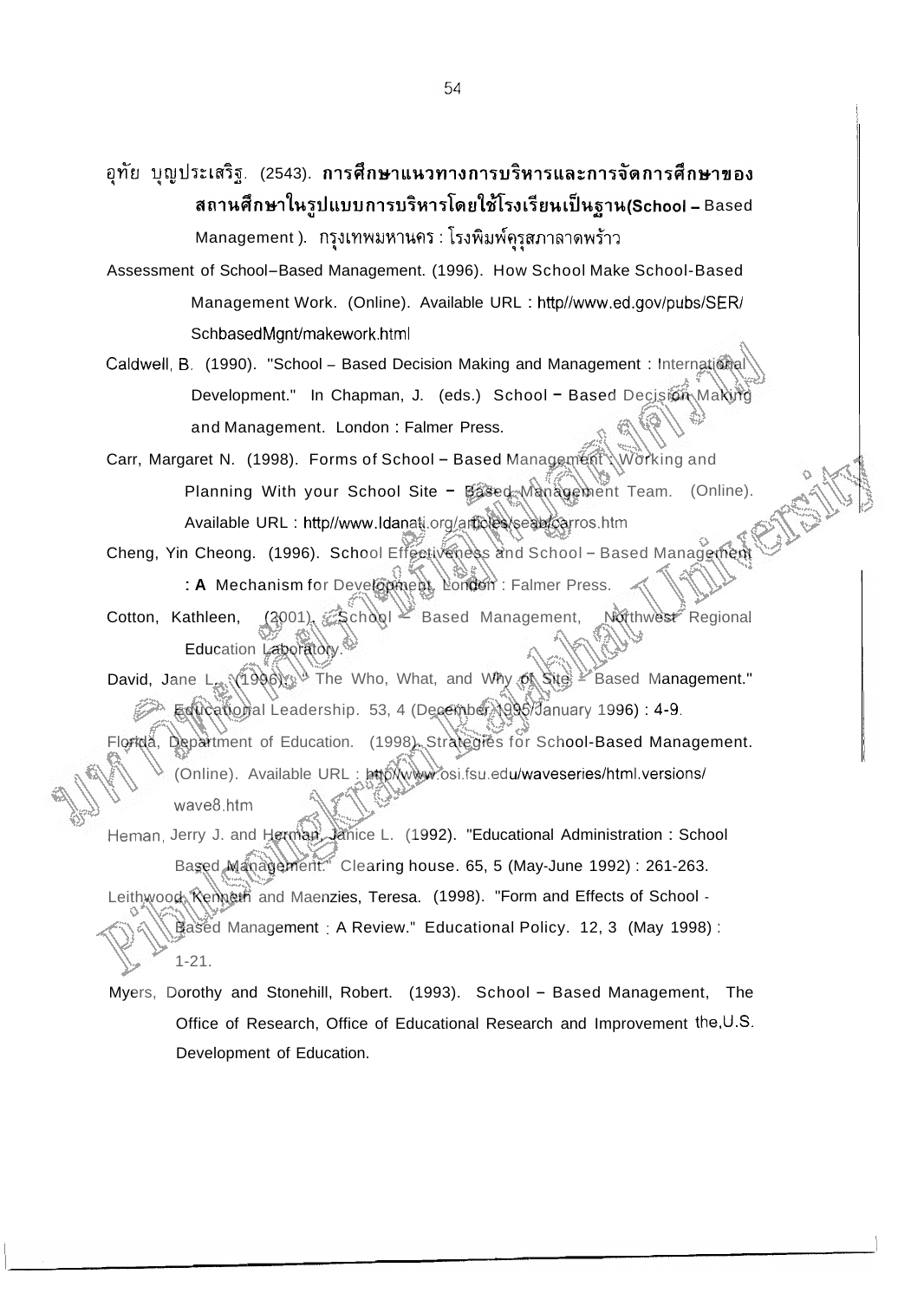อุทัย บุญประเสริฐ. (2543). **การศึกษาแนวทางการบริหารและการจัดการศึกษาของ**  $~$ สถานศึกษาในรูปแบบการบริหารโดยใช้โรงเรียนเป็นฐาน(School – Based Management ). กรุงเทพมหานคร : โรงพิมพ์คุรุสภาลาดพร้าว

Assessment of School-Based Management. (1996). How School Make School-Based Management Work. (Online). Available URL : http//www.ed.gov/pubs/SER/ SchbasedMgnt/makework.html

Caldwell, B. (1990). "School - Based Decision Making and Management : International Development." In Chapman, J. (eds.) School - Based Decision Making and Management. London : Falmer Press.

Carr, Margaret N. (1998). Forms of School - Based Management \Working and Planning With your School Site - Based Management Team. (Online). Available URL : http//www.ldanati.org/articles/seab/carros.htm

Cheng, Yin Cheong. (1996). School Effectiveness and School - Based Management : A Mechanism for Development. London : Falmer Press.

Cotton, Kathleen, (2001). School Based Management, Northwest Regional Education Laboratory.<sup>8</sup>

David, Jane L. (1996). The Who, What, and Why of Site - Based Management." Educational Leadership. 53, 4 (December 1996) 1996) : 4-9. Florida, Department of Education. (1998). Strategies for School-Based Management. (Online). Available URL : http//www.osi.fsu.edu/waveseries/html.versions/ wave8.htm

Heman, Jerry J. and Herman, Janice L. (1992). "Educational Administration : School Based Management." Clearing house. 65, 5 (May-June 1992) : 261-263. Leithwood, Kenneth and Maenzies, Teresa. (1998). "Form and Effects of School - Based Management : A Review." Educational Policy. 12, 3 (May 1998) : 1-21.

Myers, Dorothy and Stonehill, Robert. (1993). School - Based Management, The Office of Research, Office of Educational Research and Improvement the,U.S. Development of Education.